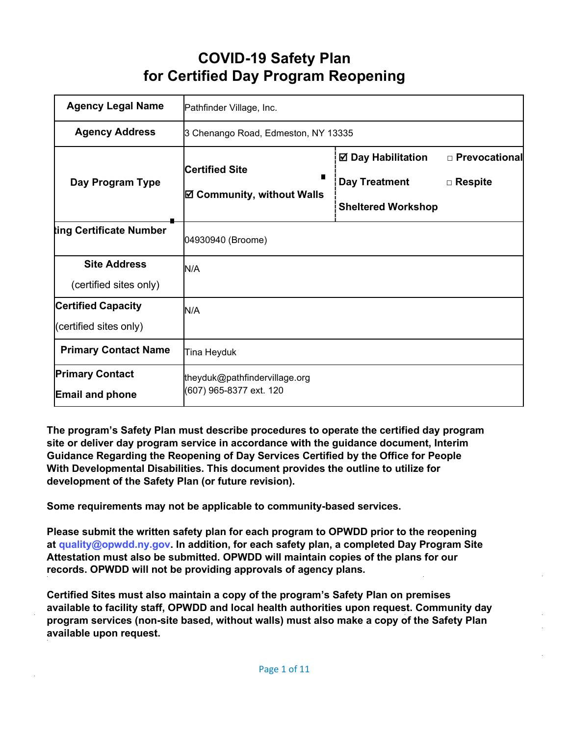# **COVID-19 Safety Plan for Certified Day Program Reopening**

| <b>Agency Legal Name</b>                            | Pathfinder Village, Inc.                                   |                                                                                |                                   |
|-----------------------------------------------------|------------------------------------------------------------|--------------------------------------------------------------------------------|-----------------------------------|
| <b>Agency Address</b>                               | 3 Chenango Road, Edmeston, NY 13335                        |                                                                                |                                   |
| Day Program Type                                    | <b>Certified Site</b><br><b>⊠ Community, without Walls</b> | <b>☑ Day Habilitation</b><br><b>Day Treatment</b><br><b>Sheltered Workshop</b> | □ Prevocational<br>$\Box$ Respite |
| ting Certificate Number                             | 04930940 (Broome)                                          |                                                                                |                                   |
| <b>Site Address</b><br>(certified sites only)       | N/A                                                        |                                                                                |                                   |
| <b>Certified Capacity</b><br>(certified sites only) | N/A                                                        |                                                                                |                                   |
| <b>Primary Contact Name</b>                         | Tina Heyduk                                                |                                                                                |                                   |
| <b>Primary Contact</b><br><b>Email and phone</b>    | theyduk@pathfindervillage.org<br>(607) 965-8377 ext. 120   |                                                                                |                                   |

**The program's Safety Plan must describe procedures to operate the certified day program site or deliver day program service in accordance with the guidance document, Interim Guidance Regarding the Reopening of Day Services Certified by the Office for People With Developmental Disabilities. This document provides the outline to utilize for development of the Safety Plan (or future revision).**

**Some requirements may not be applicable to community-based services.**

**Please submit the written safety plan for each program to OPWDD prior to the reopening at [quality@opwdd.ny.gov.](mailto:quality@opwdd.ny.gov) In addition, for each safety plan, a completed Day Program Site Attestation must also be submitted. OPWDD will maintain copies of the plans for our records. OPWDD will not be providing approvals of agency plans.**

**Certified Sites must also maintain a copy of the program's Safety Plan on premises available to facility staff, OPWDD and local health authorities upon request. Community day program services (non-site based, without walls) must also make a copy of the Safety Plan available upon request.**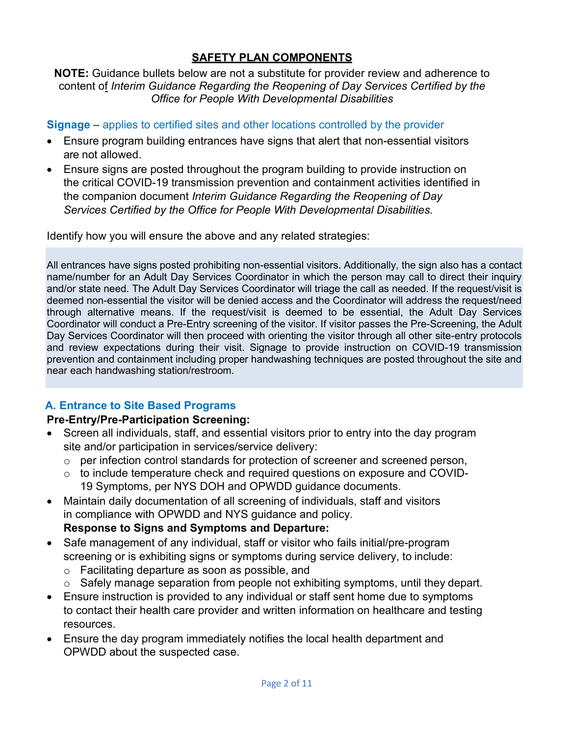## **SAFETY PLAN COMPONENTS**

#### **NOTE:** Guidance bullets below are not a substitute for provider review and adherence to content of *Interim Guidance Regarding the Reopening of Day Services Certified by the Office for People With Developmental Disabilities*

### **Signage –** applies to certified sites and other locations controlled by the provider

- Ensure program building entrances have signs that alert that non-essential visitors are not allowed.
- Ensure signs are posted throughout the program building to provide instruction on the critical COVID-19 transmission prevention and containment activities identified in the companion document *Interim Guidance Regarding the Reopening of Day Services Certified by the Office for People With Developmental Disabilities.*

Identify how you will ensure the above and any related strategies:

All entrances have signs posted prohibiting non-essential visitors. Additionally, the sign also has a contact name/number for an Adult Day Services Coordinator in which the person may call to direct their inquiry and/or state need. The Adult Day Services Coordinator will triage the call as needed. If the request/visit is deemed non-essential the visitor will be denied access and the Coordinator will address the request/need through alternative means. If the request/visit is deemed to be essential, the Adult Day Services Coordinator will conduct a Pre-Entry screening of the visitor. If visitor passes the Pre-Screening, the Adult Day Services Coordinator will then proceed with orienting the visitor through all other site-entry protocols and review expectations during their visit. Signage to provide instruction on COVID-19 transmission prevention and containment including proper handwashing techniques are posted throughout the site and near each handwashing station/restroom.

# **A. Entrance to Site Based Programs**

### **Pre-Entry/Pre-Participation Screening:**

- Screen all individuals, staff, and essential visitors prior to entry into the day program site and/or participation in services/service delivery:
	- o per infection control standards for protection of screener and screened person,
	- o to include temperature check and required questions on exposure and COVID-19 Symptoms, per NYS DOH and OPWDD guidance documents.
- Maintain daily documentation of all screening of individuals, staff and visitors in compliance with OPWDD and NYS guidance and policy. **Response to Signs and Symptoms and Departure:**
- Safe management of any individual, staff or visitor who fails initial/pre-program screening or is exhibiting signs or symptoms during service delivery, to include:
	- o Facilitating departure as soon as possible, and
	- o Safely manage separation from people not exhibiting symptoms, until they depart.
- Ensure instruction is provided to any individual or staff sent home due to symptoms to contact their health care provider and written information on healthcare and testing resources.
- Ensure the day program immediately notifies the local health department and OPWDD about the suspected case.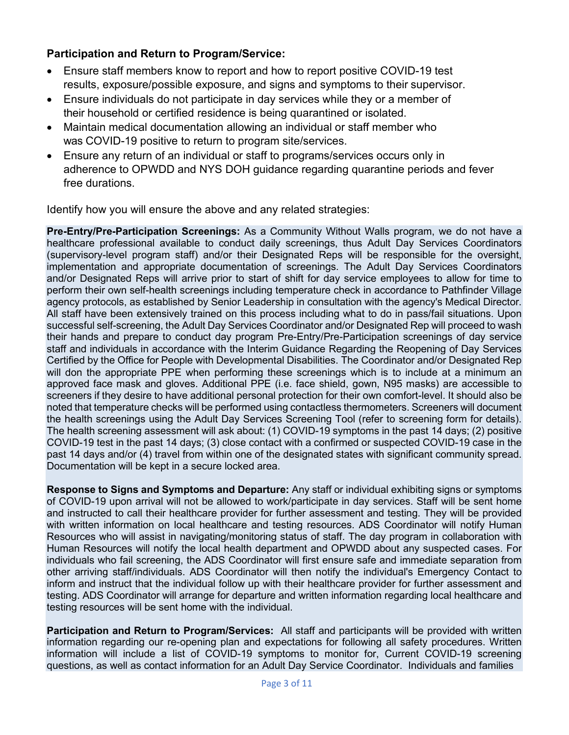### **Participation and Return to Program/Service:**

- Ensure staff members know to report and how to report positive COVID-19 test results, exposure/possible exposure, and signs and symptoms to their supervisor.
- Ensure individuals do not participate in day services while they or a member of their household or certified residence is being quarantined or isolated.
- Maintain medical documentation allowing an individual or staff member who was COVID-19 positive to return to program site/services.
- Ensure any return of an individual or staff to programs/services occurs only in adherence to OPWDD and NYS DOH guidance regarding quarantine periods and fever free durations.

Identify how you will ensure the above and any related strategies:

**Pre-Entry/Pre-Participation Screenings:** As a Community Without Walls program, we do not have a healthcare professional available to conduct daily screenings, thus Adult Day Services Coordinators (supervisory-level program staff) and/or their Designated Reps will be responsible for the oversight, implementation and appropriate documentation of screenings. The Adult Day Services Coordinators and/or Designated Reps will arrive prior to start of shift for day service employees to allow for time to perform their own self-health screenings including temperature check in accordance to Pathfinder Village agency protocols, as established by Senior Leadership in consultation with the agency's Medical Director. All staff have been extensively trained on this process including what to do in pass/fail situations. Upon successful self-screening, the Adult Day Services Coordinator and/or Designated Rep will proceed to wash their hands and prepare to conduct day program Pre-Entry/Pre-Participation screenings of day service staff and individuals in accordance with the Interim Guidance Regarding the Reopening of Day Services Certified by the Office for People with Developmental Disabilities. The Coordinator and/or Designated Rep will don the appropriate PPE when performing these screenings which is to include at a minimum an approved face mask and gloves. Additional PPE (i.e. face shield, gown, N95 masks) are accessible to screeners if they desire to have additional personal protection for their own comfort-level. It should also be noted that temperature checks will be performed using contactless thermometers. Screeners will document the health screenings using the Adult Day Services Screening Tool (refer to screening form for details). The health screening assessment will ask about: (1) COVID-19 symptoms in the past 14 days; (2) positive COVID-19 test in the past 14 days; (3) close contact with a confirmed or suspected COVID-19 case in the past 14 days and/or (4) travel from within one of the designated states with significant community spread. Documentation will be kept in a secure locked area.

**Response to Signs and Symptoms and Departure:** Any staff or individual exhibiting signs or symptoms of COVID-19 upon arrival will not be allowed to work/participate in day services. Staff will be sent home and instructed to call their healthcare provider for further assessment and testing. They will be provided with written information on local healthcare and testing resources. ADS Coordinator will notify Human Resources who will assist in navigating/monitoring status of staff. The day program in collaboration with Human Resources will notify the local health department and OPWDD about any suspected cases. For individuals who fail screening, the ADS Coordinator will first ensure safe and immediate separation from other arriving staff/individuals. ADS Coordinator will then notify the individual's Emergency Contact to inform and instruct that the individual follow up with their healthcare provider for further assessment and testing. ADS Coordinator will arrange for departure and written information regarding local healthcare and testing resources will be sent home with the individual.

**Participation and Return to Program/Services:** All staff and participants will be provided with written information regarding our re-opening plan and expectations for following all safety procedures. Written information will include a list of COVID-19 symptoms to monitor for, Current COVID-19 screening questions, as well as contact information for an Adult Day Service Coordinator. Individuals and families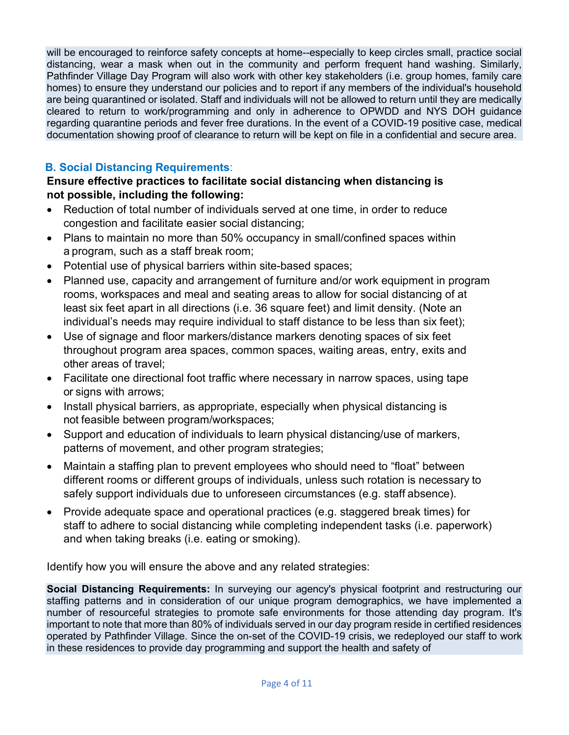will be encouraged to reinforce safety concepts at home--especially to keep circles small, practice social distancing, wear a mask when out in the community and perform frequent hand washing. Similarly, Pathfinder Village Day Program will also work with other key stakeholders (i.e. group homes, family care homes) to ensure they understand our policies and to report if any members of the individual's household are being quarantined or isolated. Staff and individuals will not be allowed to return until they are medically cleared to return to work/programming and only in adherence to OPWDD and NYS DOH guidance regarding quarantine periods and fever free durations. In the event of a COVID-19 positive case, medical documentation showing proof of clearance to return will be kept on file in a confidential and secure area.

## **B. Social Distancing Requirements**:

### **Ensure effective practices to facilitate social distancing when distancing is not possible, including the following:**

- Reduction of total number of individuals served at one time, in order to reduce congestion and facilitate easier social distancing;
- Plans to maintain no more than 50% occupancy in small/confined spaces within a program, such as a staff break room;
- Potential use of physical barriers within site-based spaces;
- Planned use, capacity and arrangement of furniture and/or work equipment in program rooms, workspaces and meal and seating areas to allow for social distancing of at least six feet apart in all directions (i.e. 36 square feet) and limit density. (Note an individual's needs may require individual to staff distance to be less than six feet);
- Use of signage and floor markers/distance markers denoting spaces of six feet throughout program area spaces, common spaces, waiting areas, entry, exits and other areas of travel;
- Facilitate one directional foot traffic where necessary in narrow spaces, using tape or signs with arrows;
- Install physical barriers, as appropriate, especially when physical distancing is not feasible between program/workspaces;
- Support and education of individuals to learn physical distancing/use of markers, patterns of movement, and other program strategies;
- Maintain a staffing plan to prevent employees who should need to "float" between different rooms or different groups of individuals, unless such rotation is necessary to safely support individuals due to unforeseen circumstances (e.g. staff absence).
- Provide adequate space and operational practices (e.g. staggered break times) for staff to adhere to social distancing while completing independent tasks (i.e. paperwork) and when taking breaks (i.e. eating or smoking).

Identify how you will ensure the above and any related strategies:

**Social Distancing Requirements:** In surveying our agency's physical footprint and restructuring our staffing patterns and in consideration of our unique program demographics, we have implemented a number of resourceful strategies to promote safe environments for those attending day program. It's important to note that more than 80% of individuals served in our day program reside in certified residences operated by Pathfinder Village. Since the on-set of the COVID-19 crisis, we redeployed our staff to work in these residences to provide day programming and support the health and safety of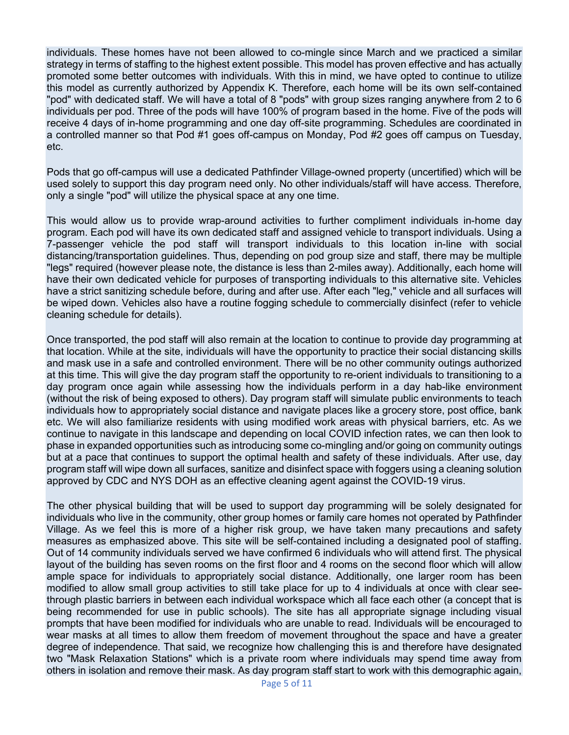individuals. These homes have not been allowed to co-mingle since March and we practiced a similar strategy in terms of staffing to the highest extent possible. This model has proven effective and has actually promoted some better outcomes with individuals. With this in mind, we have opted to continue to utilize this model as currently authorized by Appendix K. Therefore, each home will be its own self-contained "pod" with dedicated staff. We will have a total of 8 "pods" with group sizes ranging anywhere from 2 to 6 individuals per pod. Three of the pods will have 100% of program based in the home. Five of the pods will receive 4 days of in-home programming and one day off-site programming. Schedules are coordinated in a controlled manner so that Pod #1 goes off-campus on Monday, Pod #2 goes off campus on Tuesday, etc.

Pods that go off-campus will use a dedicated Pathfinder Village-owned property (uncertified) which will be used solely to support this day program need only. No other individuals/staff will have access. Therefore, only a single "pod" will utilize the physical space at any one time.

This would allow us to provide wrap-around activities to further compliment individuals in-home day program. Each pod will have its own dedicated staff and assigned vehicle to transport individuals. Using a 7-passenger vehicle the pod staff will transport individuals to this location in-line with social distancing/transportation guidelines. Thus, depending on pod group size and staff, there may be multiple "legs" required (however please note, the distance is less than 2-miles away). Additionally, each home will have their own dedicated vehicle for purposes of transporting individuals to this alternative site. Vehicles have a strict sanitizing schedule before, during and after use. After each "leg," vehicle and all surfaces will be wiped down. Vehicles also have a routine fogging schedule to commercially disinfect (refer to vehicle cleaning schedule for details).

Once transported, the pod staff will also remain at the location to continue to provide day programming at that location. While at the site, individuals will have the opportunity to practice their social distancing skills and mask use in a safe and controlled environment. There will be no other community outings authorized at this time. This will give the day program staff the opportunity to re-orient individuals to transitioning to a day program once again while assessing how the individuals perform in a day hab-like environment (without the risk of being exposed to others). Day program staff will simulate public environments to teach individuals how to appropriately social distance and navigate places like a grocery store, post office, bank etc. We will also familiarize residents with using modified work areas with physical barriers, etc. As we continue to navigate in this landscape and depending on local COVID infection rates, we can then look to phase in expanded opportunities such as introducing some co-mingling and/or going on community outings but at a pace that continues to support the optimal health and safety of these individuals. After use, day program staff will wipe down all surfaces, sanitize and disinfect space with foggers using a cleaning solution approved by CDC and NYS DOH as an effective cleaning agent against the COVID-19 virus.

The other physical building that will be used to support day programming will be solely designated for individuals who live in the community, other group homes or family care homes not operated by Pathfinder Village. As we feel this is more of a higher risk group, we have taken many precautions and safety measures as emphasized above. This site will be self-contained including a designated pool of staffing. Out of 14 community individuals served we have confirmed 6 individuals who will attend first. The physical layout of the building has seven rooms on the first floor and 4 rooms on the second floor which will allow ample space for individuals to appropriately social distance. Additionally, one larger room has been modified to allow small group activities to still take place for up to 4 individuals at once with clear seethrough plastic barriers in between each individual workspace which all face each other (a concept that is being recommended for use in public schools). The site has all appropriate signage including visual prompts that have been modified for individuals who are unable to read. Individuals will be encouraged to wear masks at all times to allow them freedom of movement throughout the space and have a greater degree of independence. That said, we recognize how challenging this is and therefore have designated two "Mask Relaxation Stations" which is a private room where individuals may spend time away from others in isolation and remove their mask. As day program staff start to work with this demographic again,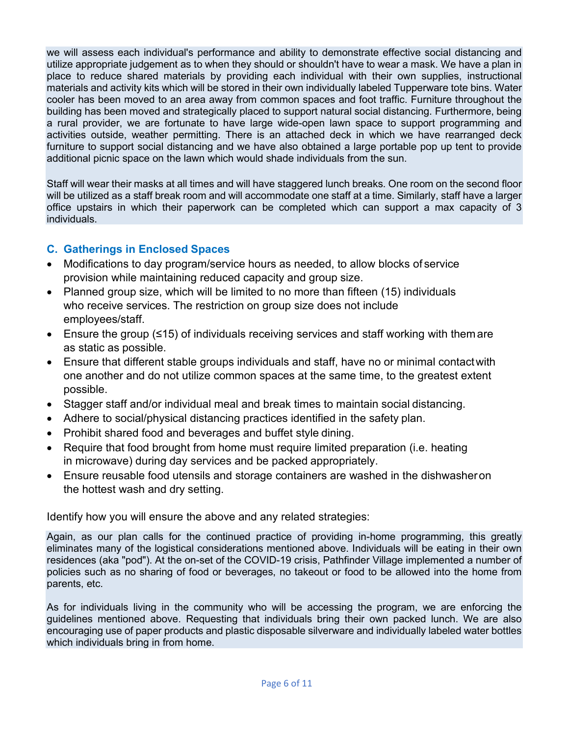we will assess each individual's performance and ability to demonstrate effective social distancing and utilize appropriate judgement as to when they should or shouldn't have to wear a mask. We have a plan in place to reduce shared materials by providing each individual with their own supplies, instructional materials and activity kits which will be stored in their own individually labeled Tupperware tote bins. Water cooler has been moved to an area away from common spaces and foot traffic. Furniture throughout the building has been moved and strategically placed to support natural social distancing. Furthermore, being a rural provider, we are fortunate to have large wide-open lawn space to support programming and activities outside, weather permitting. There is an attached deck in which we have rearranged deck furniture to support social distancing and we have also obtained a large portable pop up tent to provide additional picnic space on the lawn which would shade individuals from the sun.

Staff will wear their masks at all times and will have staggered lunch breaks. One room on the second floor will be utilized as a staff break room and will accommodate one staff at a time. Similarly, staff have a larger office upstairs in which their paperwork can be completed which can support a max capacity of 3 individuals.

# **C. Gatherings in Enclosed Spaces**

- Modifications to day program/service hours as needed, to allow blocks of service provision while maintaining reduced capacity and group size.
- Planned group size, which will be limited to no more than fifteen (15) individuals who receive services. The restriction on group size does not include employees/staff.
- Ensure the group (≤15) of individuals receiving services and staff working with themare as static as possible.
- Ensure that different stable groups individuals and staff, have no or minimal contactwith one another and do not utilize common spaces at the same time, to the greatest extent possible.
- Stagger staff and/or individual meal and break times to maintain social distancing.
- Adhere to social/physical distancing practices identified in the safety plan.
- Prohibit shared food and beverages and buffet style dining.
- Require that food brought from home must require limited preparation (i.e. heating in microwave) during day services and be packed appropriately.
- Ensure reusable food utensils and storage containers are washed in the dishwasheron the hottest wash and dry setting.

Identify how you will ensure the above and any related strategies:

Again, as our plan calls for the continued practice of providing in-home programming, this greatly eliminates many of the logistical considerations mentioned above. Individuals will be eating in their own residences (aka "pod"). At the on-set of the COVID-19 crisis, Pathfinder Village implemented a number of policies such as no sharing of food or beverages, no takeout or food to be allowed into the home from parents, etc.

As for individuals living in the community who will be accessing the program, we are enforcing the guidelines mentioned above. Requesting that individuals bring their own packed lunch. We are also encouraging use of paper products and plastic disposable silverware and individually labeled water bottles which individuals bring in from home.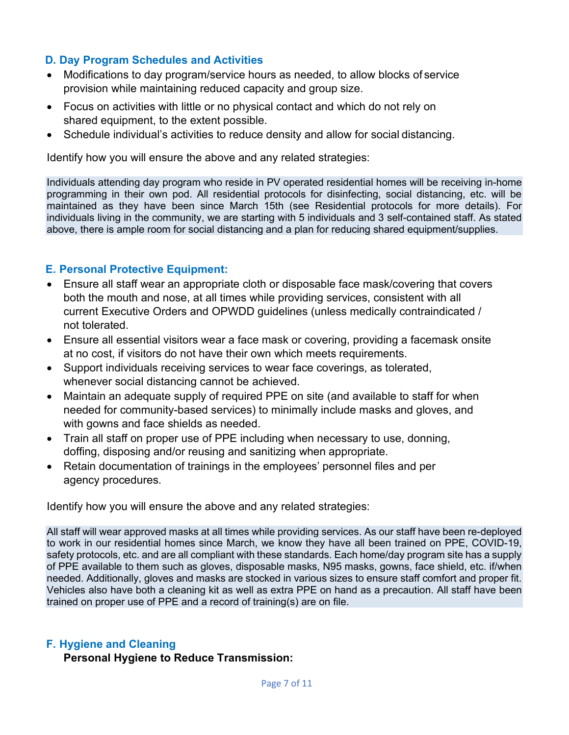### **D. Day Program Schedules and Activities**

- Modifications to day program/service hours as needed, to allow blocks of service provision while maintaining reduced capacity and group size.
- Focus on activities with little or no physical contact and which do not rely on shared equipment, to the extent possible.
- Schedule individual's activities to reduce density and allow for social distancing.

Identify how you will ensure the above and any related strategies:

Individuals attending day program who reside in PV operated residential homes will be receiving in-home programming in their own pod. All residential protocols for disinfecting, social distancing, etc. will be maintained as they have been since March 15th (see Residential protocols for more details). For individuals living in the community, we are starting with 5 individuals and 3 self-contained staff. As stated above, there is ample room for social distancing and a plan for reducing shared equipment/supplies.

### **E. Personal Protective Equipment:**

- Ensure all staff wear an appropriate cloth or disposable face mask/covering that covers both the mouth and nose, at all times while providing services, consistent with all current Executive Orders and OPWDD guidelines (unless medically contraindicated / not tolerated.
- Ensure all essential visitors wear a face mask or covering, providing a facemask onsite at no cost, if visitors do not have their own which meets requirements.
- Support individuals receiving services to wear face coverings, as tolerated, whenever social distancing cannot be achieved.
- Maintain an adequate supply of required PPE on site (and available to staff for when needed for community-based services) to minimally include masks and gloves, and with gowns and face shields as needed.
- Train all staff on proper use of PPE including when necessary to use, donning, doffing, disposing and/or reusing and sanitizing when appropriate.
- Retain documentation of trainings in the employees' personnel files and per agency procedures.

Identify how you will ensure the above and any related strategies:

All staff will wear approved masks at all times while providing services. As our staff have been re-deployed to work in our residential homes since March, we know they have all been trained on PPE, COVID-19, safety protocols, etc. and are all compliant with these standards. Each home/day program site has a supply of PPE available to them such as gloves, disposable masks, N95 masks, gowns, face shield, etc. if/when needed. Additionally, gloves and masks are stocked in various sizes to ensure staff comfort and proper fit. Vehicles also have both a cleaning kit as well as extra PPE on hand as a precaution. All staff have been trained on proper use of PPE and a record of training(s) are on file.

#### **F. Hygiene and Cleaning**

**Personal Hygiene to Reduce Transmission:**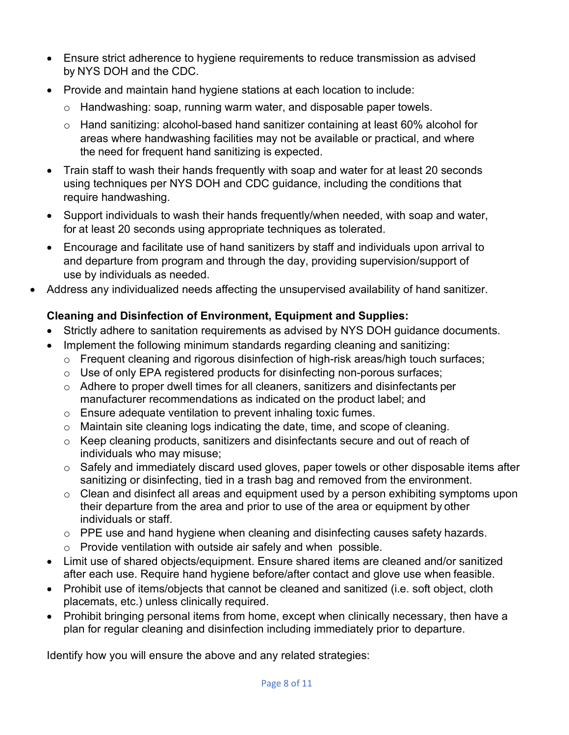- Ensure strict adherence to hygiene requirements to reduce transmission as advised by NYS DOH and the CDC.
- Provide and maintain hand hygiene stations at each location to include:
	- o Handwashing: soap, running warm water, and disposable paper towels.
	- o Hand sanitizing: alcohol-based hand sanitizer containing at least 60% alcohol for areas where handwashing facilities may not be available or practical, and where the need for frequent hand sanitizing is expected.
- Train staff to wash their hands frequently with soap and water for at least 20 seconds using techniques per NYS DOH and CDC guidance, including the conditions that require handwashing.
- Support individuals to wash their hands frequently/when needed, with soap and water, for at least 20 seconds using appropriate techniques as tolerated.
- Encourage and facilitate use of hand sanitizers by staff and individuals upon arrival to and departure from program and through the day, providing supervision/support of use by individuals as needed.
- Address any individualized needs affecting the unsupervised availability of hand sanitizer.

# **Cleaning and Disinfection of Environment, Equipment and Supplies:**

- Strictly adhere to sanitation requirements as advised by NYS DOH guidance documents.
- Implement the following minimum standards regarding cleaning and sanitizing:
	- o Frequent cleaning and rigorous disinfection of high-risk areas/high touch surfaces;
	- o Use of only EPA registered products for disinfecting non-porous surfaces;
	- $\circ$  Adhere to proper dwell times for all cleaners, sanitizers and disinfectants per manufacturer recommendations as indicated on the product label; and
	- o Ensure adequate ventilation to prevent inhaling toxic fumes.
	- o Maintain site cleaning logs indicating the date, time, and scope of cleaning.
	- o Keep cleaning products, sanitizers and disinfectants secure and out of reach of individuals who may misuse;
	- o Safely and immediately discard used gloves, paper towels or other disposable items after sanitizing or disinfecting, tied in a trash bag and removed from the environment.
	- o Clean and disinfect all areas and equipment used by a person exhibiting symptoms upon their departure from the area and prior to use of the area or equipment by other individuals or staff.
	- o PPE use and hand hygiene when cleaning and disinfecting causes safety hazards.
	- o Provide ventilation with outside air safely and when possible.
- Limit use of shared objects/equipment. Ensure shared items are cleaned and/or sanitized after each use. Require hand hygiene before/after contact and glove use when feasible.
- Prohibit use of items/objects that cannot be cleaned and sanitized (i.e. soft object, cloth placemats, etc.) unless clinically required.
- Prohibit bringing personal items from home, except when clinically necessary, then have a plan for regular cleaning and disinfection including immediately prior to departure.

Identify how you will ensure the above and any related strategies: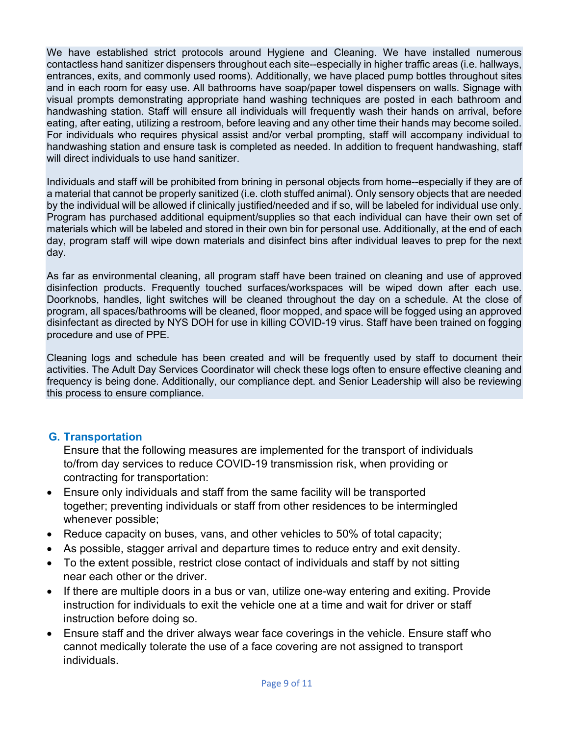We have established strict protocols around Hygiene and Cleaning. We have installed numerous contactless hand sanitizer dispensers throughout each site--especially in higher traffic areas (i.e. hallways, entrances, exits, and commonly used rooms). Additionally, we have placed pump bottles throughout sites and in each room for easy use. All bathrooms have soap/paper towel dispensers on walls. Signage with visual prompts demonstrating appropriate hand washing techniques are posted in each bathroom and handwashing station. Staff will ensure all individuals will frequently wash their hands on arrival, before eating, after eating, utilizing a restroom, before leaving and any other time their hands may become soiled. For individuals who requires physical assist and/or verbal prompting, staff will accompany individual to handwashing station and ensure task is completed as needed. In addition to frequent handwashing, staff will direct individuals to use hand sanitizer.

Individuals and staff will be prohibited from brining in personal objects from home--especially if they are of a material that cannot be properly sanitized (i.e. cloth stuffed animal). Only sensory objects that are needed by the individual will be allowed if clinically justified/needed and if so, will be labeled for individual use only. Program has purchased additional equipment/supplies so that each individual can have their own set of materials which will be labeled and stored in their own bin for personal use. Additionally, at the end of each day, program staff will wipe down materials and disinfect bins after individual leaves to prep for the next day.

As far as environmental cleaning, all program staff have been trained on cleaning and use of approved disinfection products. Frequently touched surfaces/workspaces will be wiped down after each use. Doorknobs, handles, light switches will be cleaned throughout the day on a schedule. At the close of program, all spaces/bathrooms will be cleaned, floor mopped, and space will be fogged using an approved disinfectant as directed by NYS DOH for use in killing COVID-19 virus. Staff have been trained on fogging procedure and use of PPE.

Cleaning logs and schedule has been created and will be frequently used by staff to document their activities. The Adult Day Services Coordinator will check these logs often to ensure effective cleaning and frequency is being done. Additionally, our compliance dept. and Senior Leadership will also be reviewing this process to ensure compliance.

### **G. Transportation**

Ensure that the following measures are implemented for the transport of individuals to/from day services to reduce COVID-19 transmission risk, when providing or contracting for transportation:

- Ensure only individuals and staff from the same facility will be transported together; preventing individuals or staff from other residences to be intermingled whenever possible;
- Reduce capacity on buses, vans, and other vehicles to 50% of total capacity;
- As possible, stagger arrival and departure times to reduce entry and exit density.
- To the extent possible, restrict close contact of individuals and staff by not sitting near each other or the driver.
- If there are multiple doors in a bus or van, utilize one-way entering and exiting. Provide instruction for individuals to exit the vehicle one at a time and wait for driver or staff instruction before doing so.
- Ensure staff and the driver always wear face coverings in the vehicle. Ensure staff who cannot medically tolerate the use of a face covering are not assigned to transport individuals.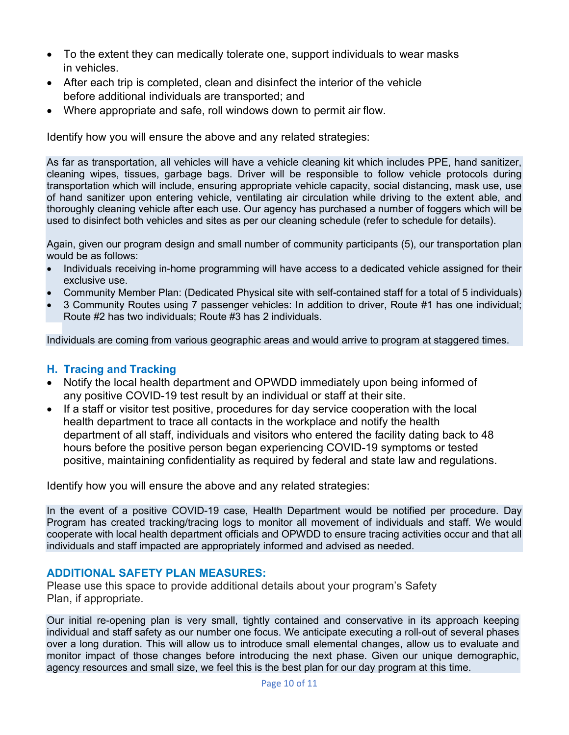- To the extent they can medically tolerate one, support individuals to wear masks in vehicles.
- After each trip is completed, clean and disinfect the interior of the vehicle before additional individuals are transported; and
- Where appropriate and safe, roll windows down to permit air flow.

Identify how you will ensure the above and any related strategies:

As far as transportation, all vehicles will have a vehicle cleaning kit which includes PPE, hand sanitizer, cleaning wipes, tissues, garbage bags. Driver will be responsible to follow vehicle protocols during transportation which will include, ensuring appropriate vehicle capacity, social distancing, mask use, use of hand sanitizer upon entering vehicle, ventilating air circulation while driving to the extent able, and thoroughly cleaning vehicle after each use. Our agency has purchased a number of foggers which will be used to disinfect both vehicles and sites as per our cleaning schedule (refer to schedule for details).

Again, given our program design and small number of community participants (5), our transportation plan would be as follows:

- Individuals receiving in-home programming will have access to a dedicated vehicle assigned for their exclusive use.
- Community Member Plan: (Dedicated Physical site with self-contained staff for a total of 5 individuals)
- 3 Community Routes using 7 passenger vehicles: In addition to driver, Route #1 has one individual; Route #2 has two individuals; Route #3 has 2 individuals.

Individuals are coming from various geographic areas and would arrive to program at staggered times.

#### **H. Tracing and Tracking**

- Notify the local health department and OPWDD immediately upon being informed of any positive COVID-19 test result by an individual or staff at their site.
- If a staff or visitor test positive, procedures for day service cooperation with the local health department to trace all contacts in the workplace and notify the health department of all staff, individuals and visitors who entered the facility dating back to 48 hours before the positive person began experiencing COVID-19 symptoms or tested positive, maintaining confidentiality as required by federal and state law and regulations.

Identify how you will ensure the above and any related strategies:

In the event of a positive COVID-19 case, Health Department would be notified per procedure. Day Program has created tracking/tracing logs to monitor all movement of individuals and staff. We would cooperate with local health department officials and OPWDD to ensure tracing activities occur and that all individuals and staff impacted are appropriately informed and advised as needed.

#### **ADDITIONAL SAFETY PLAN MEASURES:**

Please use this space to provide additional details about your program's Safety Plan, if appropriate.

Our initial re-opening plan is very small, tightly contained and conservative in its approach keeping individual and staff safety as our number one focus. We anticipate executing a roll-out of several phases over a long duration. This will allow us to introduce small elemental changes, allow us to evaluate and monitor impact of those changes before introducing the next phase. Given our unique demographic, agency resources and small size, we feel this is the best plan for our day program at this time.